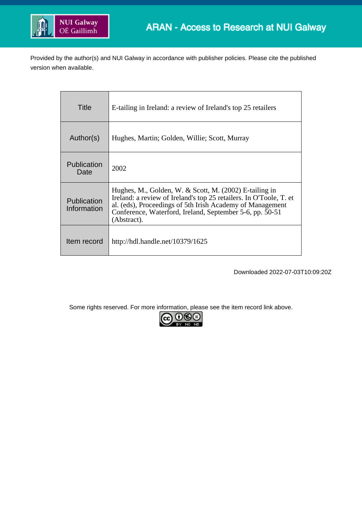

Provided by the author(s) and NUI Galway in accordance with publisher policies. Please cite the published version when available.

| Title                      | E-tailing in Ireland: a review of Ireland's top 25 retailers                                                                                                                                                                                                           |
|----------------------------|------------------------------------------------------------------------------------------------------------------------------------------------------------------------------------------------------------------------------------------------------------------------|
| Author(s)                  | Hughes, Martin; Golden, Willie; Scott, Murray                                                                                                                                                                                                                          |
| Publication<br>Date        | 2002                                                                                                                                                                                                                                                                   |
| Publication<br>Information | Hughes, M., Golden, W. & Scott, M. $(2002)$ E-tailing in<br>Ireland: a review of Ireland's top 25 retailers. In O'Toole, T. et<br>al. (eds), Proceedings of 5th Irish Academy of Management<br>Conference, Waterford, Ireland, September 5-6, pp. 50-51<br>(Abstract). |
| Item record                | http://hdl.handle.net/10379/1625                                                                                                                                                                                                                                       |

Downloaded 2022-07-03T10:09:20Z

Some rights reserved. For more information, please see the item record link above.

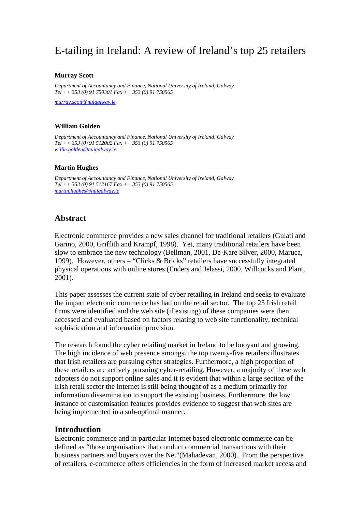# E-tailing in Ireland: A review of Ireland's top 25 retailers

#### **Murray Scott**

*Department of Accountancy and Finance, National University of Ireland, Galway Tel ++ 353 (0) 91 750301 Fax ++ 353 (0) 91 750565* 

*[murray.scott@nuigalway.ie](mailto:murray.scott@nuigalway.ie)*

#### **William Golden**

*Department of Accountancy and Finance, National University of Ireland, Galway Tel ++ 353 (0) 91 512002 Fax ++ 353 (0) 91 750565 [willie.golden@nuigalway.ie](mailto:willie.golden@nuigalway.ie)*

#### **Martin Hughes**

*Department of Accountancy and Finance, National University of Ireland, Galway Tel ++ 353 (0) 91 512167 Fax ++ 353 (0) 91 750565 [martin.hughes@nuigalway.ie](mailto:martin.hughes@nuigalway.ie)* 

### **Abstract**

Electronic commerce provides a new sales channel for traditional retailers (Gulati and Garino, 2000, Griffith and Krampf, 1998). Yet, many traditional retailers have been slow to embrace the new technology (Bellman, 2001, De-Kare Silver, 2000, Maruca, 1999). However, others – "Clicks & Bricks" retailers have successfully integrated physical operations with online stores (Enders and Jelassi, 2000, Willcocks and Plant, 2001).

This paper assesses the current state of cyber retailing in Ireland and seeks to evaluate the impact electronic commerce has had on the retail sector. The top 25 Irish retail firms were identified and the web site (if existing) of these companies were then accessed and evaluated based on factors relating to web site functionality, technical sophistication and information provision.

The research found the cyber retailing market in Ireland to be buoyant and growing. The high incidence of web presence amongst the top twenty-five retailers illustrates that Irish retailers are pursuing cyber strategies. Furthermore, a high proportion of these retailers are actively pursuing cyber-retailing. However, a majority of these web adopters do not support online sales and it is evident that within a large section of the Irish retail sector the Internet is still being thought of as a medium primarily for information dissemination to support the existing business. Furthermore, the low instance of customisation features provides evidence to suggest that web sites are being implemented in a sub-optimal manner.

### **Introduction**

Electronic commerce and in particular Internet based electronic commerce can be defined as "those organisations that conduct commercial transactions with their business partners and buyers over the Net"(Mahadevan, 2000). From the perspective of retailers, e-commerce offers efficiencies in the form of increased market access and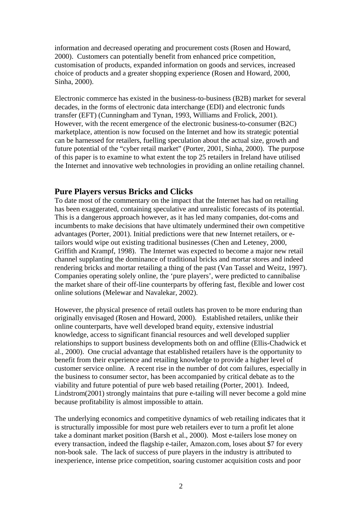information and decreased operating and procurement costs (Rosen and Howard, 2000). Customers can potentially benefit from enhanced price competition, customisation of products, expanded information on goods and services, increased choice of products and a greater shopping experience (Rosen and Howard, 2000, Sinha, 2000).

Electronic commerce has existed in the business-to-business (B2B) market for several decades, in the forms of electronic data interchange (EDI) and electronic funds transfer (EFT) (Cunningham and Tynan, 1993, Williams and Frolick, 2001). However, with the recent emergence of the electronic business-to-consumer (B2C) marketplace, attention is now focused on the Internet and how its strategic potential can be harnessed for retailers, fuelling speculation about the actual size, growth and future potential of the "cyber retail market" (Porter, 2001, Sinha, 2000). The purpose of this paper is to examine to what extent the top 25 retailers in Ireland have utilised the Internet and innovative web technologies in providing an online retailing channel.

### **Pure Players versus Bricks and Clicks**

To date most of the commentary on the impact that the Internet has had on retailing has been exaggerated, containing speculative and unrealistic forecasts of its potential. This is a dangerous approach however, as it has led many companies, dot-coms and incumbents to make decisions that have ultimately undermined their own competitive advantages (Porter, 2001). Initial predictions were that new Internet retailers, or etailors would wipe out existing traditional businesses (Chen and Leteney, 2000, Griffith and Krampf, 1998). The Internet was expected to become a major new retail channel supplanting the dominance of traditional bricks and mortar stores and indeed rendering bricks and mortar retailing a thing of the past (Van Tassel and Weitz, 1997). Companies operating solely online, the 'pure players', were predicted to cannibalise the market share of their off-line counterparts by offering fast, flexible and lower cost online solutions (Melewar and Navalekar, 2002).

However, the physical presence of retail outlets has proven to be more enduring than originally envisaged (Rosen and Howard, 2000). Established retailers, unlike their online counterparts, have well developed brand equity, extensive industrial knowledge, access to significant financial resources and well developed supplier relationships to support business developments both on and offline (Ellis-Chadwick et al., 2000). One crucial advantage that established retailers have is the opportunity to benefit from their experience and retailing knowledge to provide a higher level of customer service online. A recent rise in the number of dot com failures, especially in the business to consumer sector, has been accompanied by critical debate as to the viability and future potential of pure web based retailing (Porter, 2001). Indeed, Lindstrom(2001) strongly maintains that pure e-tailing will never become a gold mine because profitability is almost impossible to attain.

The underlying economics and competitive dynamics of web retailing indicates that it is structurally impossible for most pure web retailers ever to turn a profit let alone take a dominant market position (Barsh et al., 2000). Most e-tailers lose money on every transaction, indeed the flagship e-tailer, Amazon.com, loses about \$7 for every non-book sale. The lack of success of pure players in the industry is attributed to inexperience, intense price competition, soaring customer acquisition costs and poor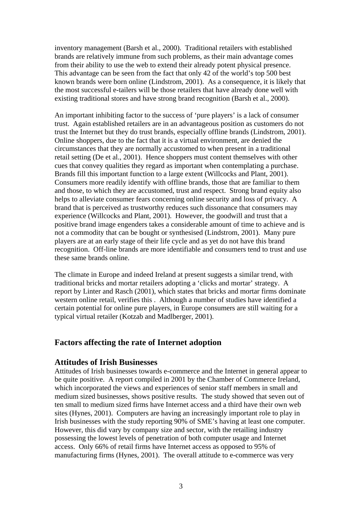inventory management (Barsh et al., 2000). Traditional retailers with established brands are relatively immune from such problems, as their main advantage comes from their ability to use the web to extend their already potent physical presence. This advantage can be seen from the fact that only 42 of the world's top 500 best known brands were born online (Lindstrom, 2001). As a consequence, it is likely that the most successful e-tailers will be those retailers that have already done well with existing traditional stores and have strong brand recognition (Barsh et al., 2000).

An important inhibiting factor to the success of 'pure players' is a lack of consumer trust. Again established retailers are in an advantageous position as customers do not trust the Internet but they do trust brands, especially offline brands (Lindstrom, 2001). Online shoppers, due to the fact that it is a virtual environment, are denied the circumstances that they are normally accustomed to when present in a traditional retail setting (De et al., 2001). Hence shoppers must content themselves with other cues that convey qualities they regard as important when contemplating a purchase. Brands fill this important function to a large extent (Willcocks and Plant, 2001). Consumers more readily identify with offline brands, those that are familiar to them and those, to which they are accustomed, trust and respect. Strong brand equity also helps to alleviate consumer fears concerning online security and loss of privacy. A brand that is perceived as trustworthy reduces such dissonance that consumers may experience (Willcocks and Plant, 2001). However, the goodwill and trust that a positive brand image engenders takes a considerable amount of time to achieve and is not a commodity that can be bought or synthesised (Lindstrom, 2001). Many pure players are at an early stage of their life cycle and as yet do not have this brand recognition. Off-line brands are more identifiable and consumers tend to trust and use these same brands online.

The climate in Europe and indeed Ireland at present suggests a similar trend, with traditional bricks and mortar retailers adopting a 'clicks and mortar' strategy. A report by Linter and Rasch (2001), which states that bricks and mortar firms dominate western online retail, verifies this . Although a number of studies have identified a certain potential for online pure players, in Europe consumers are still waiting for a typical virtual retailer (Kotzab and Madlberger, 2001).

### **Factors affecting the rate of Internet adoption**

### **Attitudes of Irish Businesses**

Attitudes of Irish businesses towards e-commerce and the Internet in general appear to be quite positive. A report compiled in 2001 by the Chamber of Commerce Ireland, which incorporated the views and experiences of senior staff members in small and medium sized businesses, shows positive results. The study showed that seven out of ten small to medium sized firms have Internet access and a third have their own web sites (Hynes, 2001). Computers are having an increasingly important role to play in Irish businesses with the study reporting 90% of SME's having at least one computer. However, this did vary by company size and sector, with the retailing industry possessing the lowest levels of penetration of both computer usage and Internet access. Only 66% of retail firms have Internet access as opposed to 95% of manufacturing firms (Hynes, 2001). The overall attitude to e-commerce was very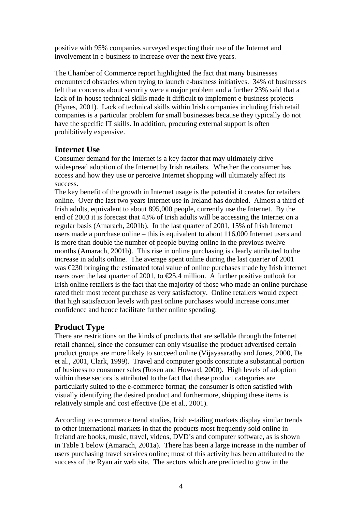positive with 95% companies surveyed expecting their use of the Internet and involvement in e-business to increase over the next five years.

The Chamber of Commerce report highlighted the fact that many businesses encountered obstacles when trying to launch e-business initiatives. 34% of businesses felt that concerns about security were a major problem and a further 23% said that a lack of in-house technical skills made it difficult to implement e-business projects (Hynes, 2001). Lack of technical skills within Irish companies including Irish retail companies is a particular problem for small businesses because they typically do not have the specific IT skills. In addition, procuring external support is often prohibitively expensive.

## **Internet Use**

Consumer demand for the Internet is a key factor that may ultimately drive widespread adoption of the Internet by Irish retailers. Whether the consumer has access and how they use or perceive Internet shopping will ultimately affect its success.

The key benefit of the growth in Internet usage is the potential it creates for retailers online. Over the last two years Internet use in Ireland has doubled. Almost a third of Irish adults, equivalent to about 895,000 people, currently use the Internet. By the end of 2003 it is forecast that 43% of Irish adults will be accessing the Internet on a regular basis (Amarach, 2001b). In the last quarter of 2001, 15% of Irish Internet users made a purchase online – this is equivalent to about 116,000 Internet users and is more than double the number of people buying online in the previous twelve months (Amarach, 2001b). This rise in online purchasing is clearly attributed to the increase in adults online. The average spent online during the last quarter of 2001 was €230 bringing the estimated total value of online purchases made by Irish internet users over the last quarter of 2001, to  $\epsilon$ 25.4 million. A further positive outlook for Irish online retailers is the fact that the majority of those who made an online purchase rated their most recent purchase as very satisfactory. Online retailers would expect that high satisfaction levels with past online purchases would increase consumer confidence and hence facilitate further online spending.

## **Product Type**

There are restrictions on the kinds of products that are sellable through the Internet retail channel, since the consumer can only visualise the product advertised certain product groups are more likely to succeed online (Vijayasarathy and Jones, 2000, De et al., 2001, Clark, 1999). Travel and computer goods constitute a substantial portion of business to consumer sales (Rosen and Howard, 2000). High levels of adoption within these sectors is attributed to the fact that these product categories are particularly suited to the e-commerce format; the consumer is often satisfied with visually identifying the desired product and furthermore, shipping these items is relatively simple and cost effective (De et al., 2001).

According to e-commerce trend studies, Irish e-tailing markets display similar trends to other international markets in that the products most frequently sold online in Ireland are books, music, travel, videos, DVD's and computer software, as is shown in Table 1 below (Amarach, 2001a). There has been a large increase in the number of users purchasing travel services online; most of this activity has been attributed to the success of the Ryan air web site. The sectors which are predicted to grow in the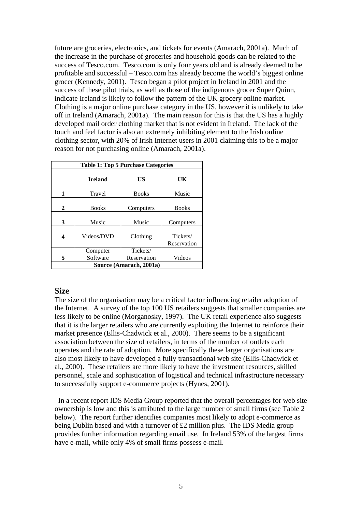future are groceries, electronics, and tickets for events (Amarach, 2001a). Much of the increase in the purchase of groceries and household goods can be related to the success of Tesco.com. Tesco.com is only four years old and is already deemed to be profitable and successful – Tesco.com has already become the world's biggest online grocer (Kennedy, 2001). Tesco began a pilot project in Ireland in 2001 and the success of these pilot trials, as well as those of the indigenous grocer Super Quinn, indicate Ireland is likely to follow the pattern of the UK grocery online market. Clothing is a major online purchase category in the US, however it is unlikely to take off in Ireland (Amarach, 2001a). The main reason for this is that the US has a highly developed mail order clothing market that is not evident in Ireland. The lack of the touch and feel factor is also an extremely inhibiting element to the Irish online clothing sector, with 20% of Irish Internet users in 2001 claiming this to be a major reason for not purchasing online (Amarach, 2001a).

| <b>Table 1: Top 5 Purchase Categories</b> |                |              |                         |  |  |  |  |
|-------------------------------------------|----------------|--------------|-------------------------|--|--|--|--|
|                                           | <b>Ireland</b> | US           | UK                      |  |  |  |  |
| 1                                         | Travel         | <b>Books</b> | Music                   |  |  |  |  |
| $\mathbf{2}$                              | <b>Books</b>   | Computers    | <b>Books</b>            |  |  |  |  |
| 3                                         | Music          | Music        | Computers               |  |  |  |  |
| 4                                         | Videos/DVD     | Clothing     | Tickets/<br>Reservation |  |  |  |  |
|                                           | Computer       | Tickets/     |                         |  |  |  |  |
| 5                                         | Software       | Reservation  | Videos                  |  |  |  |  |
| Source (Amarach, 2001a)                   |                |              |                         |  |  |  |  |

### **Size**

The size of the organisation may be a critical factor influencing retailer adoption of the Internet. A survey of the top 100 US retailers suggests that smaller companies are less likely to be online (Morganosky, 1997). The UK retail experience also suggests that it is the larger retailers who are currently exploiting the Internet to reinforce their market presence (Ellis-Chadwick et al., 2000). There seems to be a significant association between the size of retailers, in terms of the number of outlets each operates and the rate of adoption. More specifically these larger organisations are also most likely to have developed a fully transactional web site (Ellis-Chadwick et al., 2000). These retailers are more likely to have the investment resources, skilled personnel, scale and sophistication of logistical and technical infrastructure necessary to successfully support e-commerce projects (Hynes, 2001).

 In a recent report IDS Media Group reported that the overall percentages for web site ownership is low and this is attributed to the large number of small firms (see Table 2 below). The report further identifies companies most likely to adopt e-commerce as being Dublin based and with a turnover of £2 million plus. The IDS Media group provides further information regarding email use. In Ireland 53% of the largest firms have e-mail, while only 4% of small firms possess e-mail.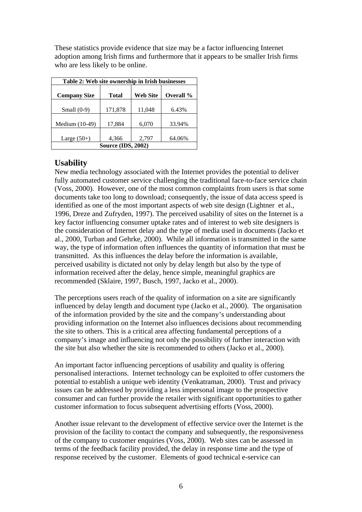These statistics provide evidence that size may be a factor influencing Internet adoption among Irish firms and furthermore that it appears to be smaller Irish firms who are less likely to be online.

| Table 2: Web site ownership in Irish businesses |              |                 |           |  |  |  |  |  |
|-------------------------------------------------|--------------|-----------------|-----------|--|--|--|--|--|
| <b>Company Size</b>                             | <b>Total</b> | <b>Web Site</b> | Overall % |  |  |  |  |  |
|                                                 |              |                 |           |  |  |  |  |  |
| Small $(0-9)$                                   | 171,878      | 11,048          | 6.43%     |  |  |  |  |  |
| Medium (10-49)                                  | 17,884       | 6,070           | 33.94%    |  |  |  |  |  |
| Large $(50+)$                                   | 4,366        | 2,797           | 64.06%    |  |  |  |  |  |
| <b>Source (IDS, 2002)</b>                       |              |                 |           |  |  |  |  |  |

### **Usability**

New media technology associated with the Internet provides the potential to deliver fully automated customer service challenging the traditional face-to-face service chain (Voss, 2000). However, one of the most common complaints from users is that some documents take too long to download; consequently, the issue of data access speed is identified as one of the most important aspects of web site design (Lightner et al., 1996, Dreze and Zufryden, 1997). The perceived usability of sites on the Internet is a key factor influencing consumer uptake rates and of interest to web site designers is the consideration of Internet delay and the type of media used in documents (Jacko et al., 2000, Turban and Gehrke, 2000). While all information is transmitted in the same way, the type of information often influences the quantity of information that must be transmitted. As this influences the delay before the information is available, perceived usability is dictated not only by delay length but also by the type of information received after the delay, hence simple, meaningful graphics are recommended (Sklaire, 1997, Busch, 1997, Jacko et al., 2000).

The perceptions users reach of the quality of information on a site are significantly influenced by delay length and document type (Jacko et al., 2000). The organisation of the information provided by the site and the company's understanding about providing information on the Internet also influences decisions about recommending the site to others. This is a critical area affecting fundamental perceptions of a company's image and influencing not only the possibility of further interaction with the site but also whether the site is recommended to others (Jacko et al., 2000).

An important factor influencing perceptions of usability and quality is offering personalised interactions. Internet technology can be exploited to offer customers the potential to establish a unique web identity (Venkatraman, 2000). Trust and privacy issues can be addressed by providing a less impersonal image to the prospective consumer and can further provide the retailer with significant opportunities to gather customer information to focus subsequent advertising efforts (Voss, 2000).

Another issue relevant to the development of effective service over the Internet is the provision of the facility to contact the company and subsequently, the responsiveness of the company to customer enquiries (Voss, 2000). Web sites can be assessed in terms of the feedback facility provided, the delay in response time and the type of response received by the customer. Elements of good technical e-service can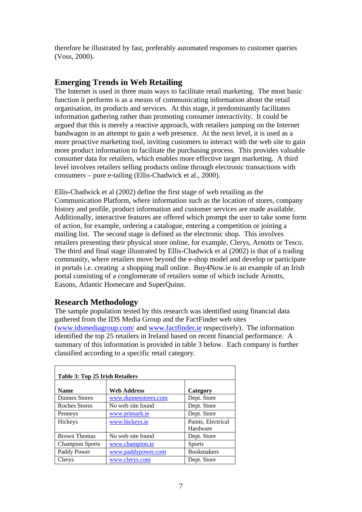therefore be illustrated by fast, preferably automated responses to customer queries (Voss, 2000).

## **Emerging Trends in Web Retailing**

The Internet is used in three main ways to facilitate retail marketing. The most basic function it performs is as a means of communicating information about the retail organisation, its products and services. At this stage, it predominantly facilitates information gathering rather than promoting consumer interactivity. It could be argued that this is merely a reactive approach, with retailers jumping on the Internet bandwagon in an attempt to gain a web presence. At the next level, it is used as a more proactive marketing tool, inviting customers to interact with the web site to gain more product information to facilitate the purchasing process. This provides valuable consumer data for retailers, which enables more effective target marketing. A third level involves retailers selling products online through electronic transactions with consumers – pure e-tailing (Ellis-Chadwick et al., 2000).

Ellis-Chadwick et al (2002) define the first stage of web retailing as the Communication Platform, where information such as the location of stores, company history and profile, product information and customer services are made available. Additionally, interactive features are offered which prompt the user to take some form of action, for example, ordering a catalogue, entering a competition or joining a mailing list. The second stage is defined as the electronic shop. This involves retailers presenting their physical store online, for example, Clerys, Arnotts or Tesco. The third and final stage illustrated by Ellis-Chadwick et al (2002) is that of a trading community, where retailers move beyond the e-shop model and develop or participate in portals i.e. creating a shopping mall online. Buy4Now.ie is an example of an Irish portal consisting of a conglomerate of retailers some of which include Arnotts, Easons, Atlantic Homecare and SuperQuinn.

### **Research Methodology**

The sample population tested by this research was identified using financial data gathered from the IDS Media Group and the FactFinder web sites ([www.idsmediagroup.com/](http://www.idsmediagroup.com/) and [www.factfinder.ie](http://www.factfinder.ie/) respectively). The information identified the top 25 retailers in Ireland based on recent financial performance. A summary of this information is provided in table 3 below. Each company is further classified according to a specific retail category.

| <b>Table 3: Top 25 Irish Retailers</b> |                      |                                |  |  |  |  |  |  |
|----------------------------------------|----------------------|--------------------------------|--|--|--|--|--|--|
| <b>Name</b>                            | <b>Web Address</b>   | Category                       |  |  |  |  |  |  |
| <b>Dunnes Stores</b>                   | www.dunnesstores.com | Dept. Store                    |  |  |  |  |  |  |
| Roches Stores                          | No web site found    | Dept. Store                    |  |  |  |  |  |  |
| Penneys                                | www.primark.ie       | Dept. Store                    |  |  |  |  |  |  |
| Hickeys                                | www.hickeys.ie       | Paints, Electrical<br>Hardware |  |  |  |  |  |  |
| <b>Brown Thomas</b>                    | No web site found    | Dept. Store                    |  |  |  |  |  |  |
| <b>Champion Sports</b>                 | www.champion.ie      | <b>Sports</b>                  |  |  |  |  |  |  |
| Paddy Power                            | www.paddypower.com   | <b>Bookmakers</b>              |  |  |  |  |  |  |
| Clerys                                 | www.clerys.com       | Dept. Store                    |  |  |  |  |  |  |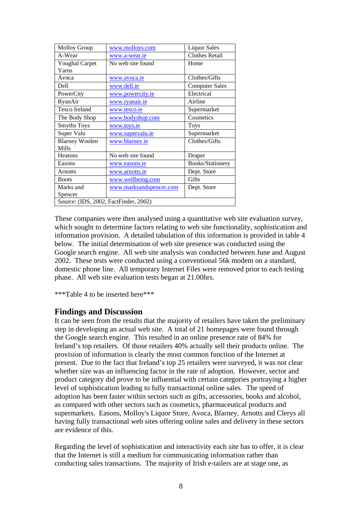| Molloy Group                          | www.molloys.com         | <b>Liquor Sales</b>   |  |  |  |  |  |
|---------------------------------------|-------------------------|-----------------------|--|--|--|--|--|
| A-Wear                                | www.a-wear.ie           | <b>Clothes Retail</b> |  |  |  |  |  |
| <b>Youghal Carpet</b>                 | No web site found       | Home                  |  |  |  |  |  |
| Yarns                                 |                         |                       |  |  |  |  |  |
| Avoca                                 | www.avoca.ie            | Clothes/Gifts         |  |  |  |  |  |
| Dell                                  | www.dell.ie             | <b>Computer Sales</b> |  |  |  |  |  |
| PowerCity                             | www.powercity.ie        | Electrical            |  |  |  |  |  |
| RyanAir                               | www.ryanair.ie          | Airline               |  |  |  |  |  |
| <b>Tesco Ireland</b>                  | www.tesco.ie            | Supermarket           |  |  |  |  |  |
| The Body Shop                         | www.bodyshop.com        | Cosmetics             |  |  |  |  |  |
| <b>Smyths Toys</b>                    | www.toys.ie             | <b>Toys</b>           |  |  |  |  |  |
| Super Valu                            | www.supervalu.ie        | Supermarket           |  |  |  |  |  |
| <b>Blarney Woolen</b>                 | www.blarney.ie          | Clothes/Gifts         |  |  |  |  |  |
| <b>Mills</b>                          |                         |                       |  |  |  |  |  |
| Heatons                               | No web site found       | Draper                |  |  |  |  |  |
| Easons                                | www.easons.ie           | Books/Stationery      |  |  |  |  |  |
| <b>Arnotts</b>                        | www.arnotts.ie          | Dept. Store           |  |  |  |  |  |
| <b>Boots</b>                          | www.wellbeing.com       | Gifts                 |  |  |  |  |  |
| Marks and                             | www.marksandspencer.com | Dept. Store           |  |  |  |  |  |
| Spencer                               |                         |                       |  |  |  |  |  |
| Source: (IDS, 2002, FactFinder, 2002) |                         |                       |  |  |  |  |  |

These companies were then analysed using a quantitative web site evaluation survey, which sought to determine factors relating to web site functionality, sophistication and information provision. A detailed tabulation of this information is provided in table 4 below. The initial determination of web site presence was conducted using the Google search engine. All web site analysis was conducted between June and August 2002. These tests were conducted using a conventional 56k modem on a standard, domestic phone line. All temporary Internet Files were removed prior to each testing phase. All web site evaluation tests began at 21.00hrs.

\*\*\*Table 4 to be inserted here\*\*\*

### **Findings and Discussion**

It can be seen from the results that the majority of retailers have taken the preliminary step in developing an actual web site. A total of 21 homepages were found through the Google search engine. This resulted in an online presence rate of 84% for Ireland's top retailers. Of those retailers 40% actually sell their products online. The provision of information is clearly the most common function of the Internet at present. Due to the fact that Ireland's top 25 retailers were surveyed, it was not clear whether size was an influencing factor in the rate of adoption. However, sector and product category did prove to be influential with certain categories portraying a higher level of sophistication leading to fully transactional online sales. The speed of adoption has been faster within sectors such as gifts, accessories, books and alcohol, as compared with other sectors such as cosmetics, pharmaceutical products and supermarkets. Easons, Molloy's Liquor Store, Avoca, Blarney, Arnotts and Clerys all having fully transactional web sites offering online sales and delivery in these sectors are evidence of this.

Regarding the level of sophistication and interactivity each site has to offer, it is clear that the Internet is still a medium for communicating information rather than conducting sales transactions. The majority of Irish e-tailers are at stage one, as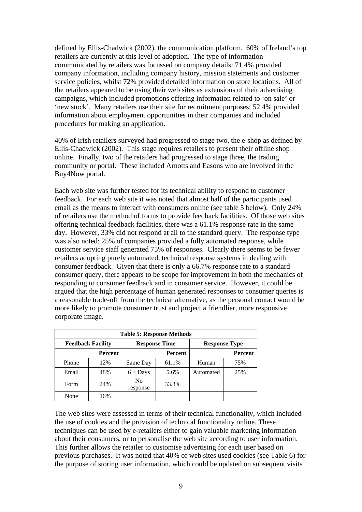defined by Ellis-Chadwick (2002), the communication platform. 60% of Ireland's top retailers are currently at this level of adoption. The type of information communicated by retailers was focussed on company details: 71.4% provided company information, including company history, mission statements and customer service policies, whilst 72% provided detailed information on store locations. All of the retailers appeared to be using their web sites as extensions of their advertising campaigns, which included promotions offering information related to 'on sale' or 'new stock'. Many retailers use their site for recruitment purposes; 52.4% provided information about employment opportunities in their companies and included procedures for making an application.

40% of Irish retailers surveyed had progressed to stage two, the e-shop as defined by Ellis-Chadwick (2002). This stage requires retailers to present their offline shop online. Finally, two of the retailers had progressed to stage three, the trading community or portal. These included Arnotts and Easons who are involved in the Buy4Now portal.

Each web site was further tested for its technical ability to respond to customer feedback. For each web site it was noted that almost half of the participants used email as the means to interact with consumers online (see table 5 below). Only 24% of retailers use the method of forms to provide feedback facilities. Of those web sites offering technical feedback facilities, there was a 61.1% response rate in the same day. However, 33% did not respond at all to the standard query. The response type was also noted: 25% of companies provided a fully automated response, while customer service staff generated 75% of responses. Clearly there seems to be fewer retailers adopting purely automated, technical response systems in dealing with consumer feedback. Given that there is only a 66.7% response rate to a standard consumer query, there appears to be scope for improvement in both the mechanics of responding to consumer feedback and in consumer service. However, it could be argued that the high percentage of human generated responses to consumer queries is a reasonable trade-off from the technical alternative, as the personal contact would be more likely to promote consumer trust and project a friendlier, more responsive corporate image.

| <b>Table 5: Response Methods</b> |                |                            |                      |                      |                |  |  |  |
|----------------------------------|----------------|----------------------------|----------------------|----------------------|----------------|--|--|--|
| <b>Feedback Facility</b>         |                |                            | <b>Response Time</b> | <b>Response Type</b> |                |  |  |  |
|                                  | <b>Percent</b> |                            | <b>Percent</b>       |                      | <b>Percent</b> |  |  |  |
| Phone                            | 12%            | Same Day                   | 61.1%                | Human                | 75%            |  |  |  |
| Email                            | 48%            | $6 +$ Days                 | 5.6%                 | Automated            | 25%            |  |  |  |
| Form                             | 24%            | N <sub>0</sub><br>response | 33.3%                |                      |                |  |  |  |
| None                             | 16%            |                            |                      |                      |                |  |  |  |

The web sites were assessed in terms of their technical functionality, which included the use of cookies and the provision of technical functionality online. These techniques can be used by e-retailers either to gain valuable marketing information about their consumers, or to personalise the web site according to user information. This further allows the retailer to customise advertising for each user based on previous purchases. It was noted that 40% of web sites used cookies (see Table 6) for the purpose of storing user information, which could be updated on subsequent visits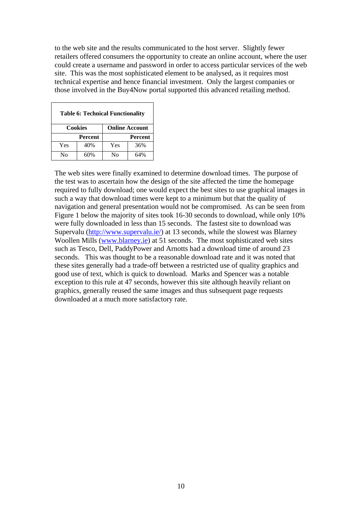to the web site and the results communicated to the host server. Slightly fewer retailers offered consumers the opportunity to create an online account, where the user could create a username and password in order to access particular services of the web site. This was the most sophisticated element to be analysed, as it requires most technical expertise and hence financial investment. Only the largest companies or those involved in the Buy4Now portal supported this advanced retailing method.

| <b>Table 6: Technical Functionality</b> |                |                       |                |  |  |  |  |
|-----------------------------------------|----------------|-----------------------|----------------|--|--|--|--|
|                                         | <b>Cookies</b> | <b>Online Account</b> |                |  |  |  |  |
|                                         | <b>Percent</b> |                       | <b>Percent</b> |  |  |  |  |
| Yes                                     | 40%            | Yes                   | 36%            |  |  |  |  |
| Nο                                      | 60%            | $N_{\Omega}$          | 64%            |  |  |  |  |

The web sites were finally examined to determine download times. The purpose of the test was to ascertain how the design of the site affected the time the homepage required to fully download; one would expect the best sites to use graphical images in such a way that download times were kept to a minimum but that the quality of navigation and general presentation would not be compromised. As can be seen from Figure 1 below the majority of sites took 16-30 seconds to download, while only 10% were fully downloaded in less than 15 seconds. The fastest site to download was Supervalu ([http://www.supervalu.ie/\)](http://www.supervalu.ie/) at 13 seconds, while the slowest was Blarney Woollen Mills ([www.blarney.ie](http://www.blarney.ie/)) at 51 seconds. The most sophisticated web sites such as Tesco, Dell, PaddyPower and Arnotts had a download time of around 23 seconds. This was thought to be a reasonable download rate and it was noted that these sites generally had a trade-off between a restricted use of quality graphics and good use of text, which is quick to download. Marks and Spencer was a notable exception to this rule at 47 seconds, however this site although heavily reliant on graphics, generally reused the same images and thus subsequent page requests downloaded at a much more satisfactory rate.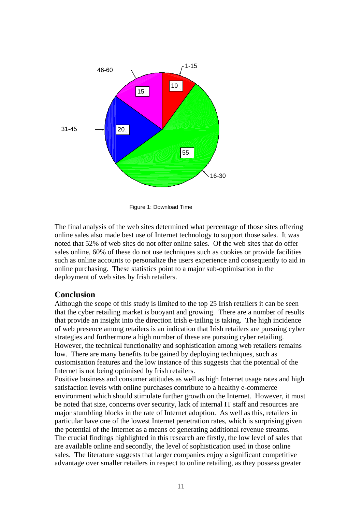

Figure 1: Download Time

The final analysis of the web sites determined what percentage of those sites offering online sales also made best use of Internet technology to support those sales. It was noted that 52% of web sites do not offer online sales. Of the web sites that do offer sales online, 60% of these do not use techniques such as cookies or provide facilities such as online accounts to personalize the users experience and consequently to aid in online purchasing. These statistics point to a major sub-optimisation in the deployment of web sites by Irish retailers.

### **Conclusion**

Although the scope of this study is limited to the top 25 Irish retailers it can be seen that the cyber retailing market is buoyant and growing. There are a number of results that provide an insight into the direction Irish e-tailing is taking. The high incidence of web presence among retailers is an indication that Irish retailers are pursuing cyber strategies and furthermore a high number of these are pursuing cyber retailing. However, the technical functionality and sophistication among web retailers remains low. There are many benefits to be gained by deploying techniques, such as customisation features and the low instance of this suggests that the potential of the Internet is not being optimised by Irish retailers.

Positive business and consumer attitudes as well as high Internet usage rates and high satisfaction levels with online purchases contribute to a healthy e-commerce environment which should stimulate further growth on the Internet. However, it must be noted that size, concerns over security, lack of internal IT staff and resources are major stumbling blocks in the rate of Internet adoption. As well as this, retailers in particular have one of the lowest Internet penetration rates, which is surprising given the potential of the Internet as a means of generating additional revenue streams. The crucial findings highlighted in this research are firstly, the low level of sales that are available online and secondly, the level of sophistication used in those online sales. The literature suggests that larger companies enjoy a significant competitive advantage over smaller retailers in respect to online retailing, as they possess greater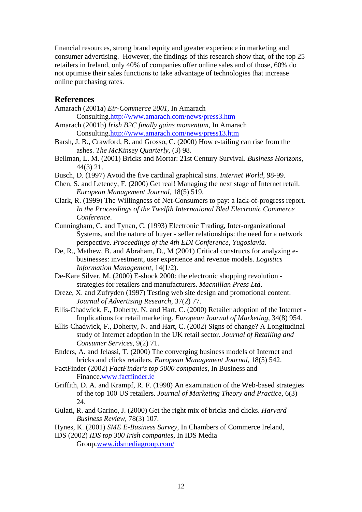financial resources, strong brand equity and greater experience in marketing and consumer advertising. However, the findings of this research show that, of the top 25 retailers in Ireland, only 40% of companies offer online sales and of those, 60% do not optimise their sales functions to take advantage of technologies that increase online purchasing rates.

### **References**

- Amarach (2001a) *Eir-Commerce 2001*, In Amarach Consulting.<http://www.amarach.com/news/press3.htm>
- Amarach (2001b) *Irish B2C finally gains momentum*, In Amarach Consulting.<http://www.amarach.com/news/press13.htm>
- Barsh, J. B., Crawford, B. and Grosso, C. (2000) How e-tailing can rise from the ashes. *The McKinsey Quarterly,* (3) 98.
- Bellman, L. M. (2001) Bricks and Mortar: 21st Century Survival. *Business Horizons,* 44(3) 21.
- Busch, D. (1997) Avoid the five cardinal graphical sins. *Internet World,* 98-99.
- Chen, S. and Leteney, F. (2000) Get real! Managing the next stage of Internet retail. *European Management Journal,* 18(5) 519.
- Clark, R. (1999) The Willingness of Net-Consumers to pay: a lack-of-progress report. *In the Proceedings of the Twelfth International Bled Electronic Commerce Conference*.
- Cunningham, C. and Tynan, C. (1993) Electronic Trading, Inter-organizational Systems, and the nature of buyer - seller relationships: the need for a network perspective. *Proceedings of the 4th EDI Conference, Yugoslavia*.
- De, R., Mathew, B. and Abraham, D., M (2001) Critical constructs for analyzing ebusinesses: investment, user experience and revenue models. *Logistics Information Management,* 14(1/2).
- De-Kare Silver, M. (2000) E-shock 2000: the electronic shopping revolution strategies for retailers and manufacturers. *Macmillan Press Ltd*.
- Dreze, X. and Zufryden (1997) Testing web site design and promotional content. *Journal of Advertising Research,* 37(2) 77.
- Ellis-Chadwick, F., Doherty, N. and Hart, C. (2000) Retailer adoption of the Internet Implications for retail marketing. *European Journal of Marketing,* 34(8) 954.
- Ellis-Chadwick, F., Doherty, N. and Hart, C. (2002) Signs of change? A Longitudinal study of Internet adoption in the UK retail sector. *Journal of Retailing and Consumer Services,* 9(2) 71.
- Enders, A. and Jelassi, T. (2000) The converging business models of Internet and bricks and clicks retailers. *European Management Journal,* 18(5) 542.
- FactFinder (2002) *FactFinder's top 5000 companies*, In Business and Finance.[www.factfinder.ie](http://www.factfinder.ie/)
- Griffith, D. A. and Krampf, R. F. (1998) An examination of the Web-based strategies of the top 100 US retailers. *Journal of Marketing Theory and Practice,* 6(3) 24.
- Gulati, R. and Garino, J. (2000) Get the right mix of bricks and clicks. *Harvard Business Review,* 78(3) 107.
- Hynes, K. (2001) *SME E-Business Survey*, In Chambers of Commerce Ireland,
- IDS (2002) *IDS top 300 Irish companies*, In IDS Media Group.[www.idsmediagroup.com/](http://www.idsmediagroup.com/)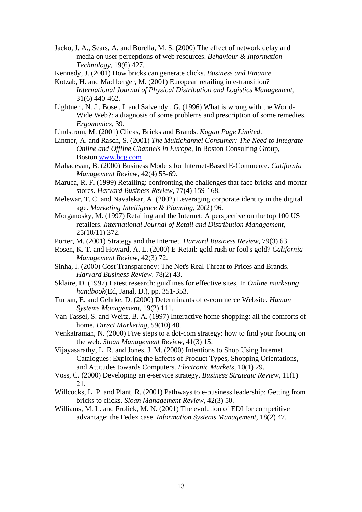Jacko, J. A., Sears, A. and Borella, M. S. (2000) The effect of network delay and media on user perceptions of web resources. *Behaviour & Information Technology,* 19(6) 427.

Kennedy, J. (2001) How bricks can generate clicks. *Business and Finance*.

- Kotzab, H. and Madlberger, M. (2001) European retailing in e-transition? *International Journal of Physical Distribution and Logistics Management,* 31(6) 440-462.
- Lightner , N. J., Bose , I. and Salvendy , G. (1996) What is wrong with the World-Wide Web?: a diagnosis of some problems and prescription of some remedies. *Ergonomics,* 39.
- Lindstrom, M. (2001) Clicks, Bricks and Brands. *Kogan Page Limited*.

Lintner, A. and Rasch, S. (2001) *The Multichannel Consumer: The Need to Integrate Online and Offline Channels in Europe*, In Boston Consulting Group, Boston.[www.bcg.com](http://www.bcg.com/)

- Mahadevan, B. (2000) Business Models for Internet-Based E-Commerce. *California Management Review,* 42(4) 55-69.
- Maruca, R. F. (1999) Retailing: confronting the challenges that face bricks-and-mortar stores. *Harvard Business Review,* 77(4) 159-168.
- Melewar, T. C. and Navalekar, A. (2002) Leveraging corporate identity in the digital age. *Marketing Intelligence & Planning,* 20(2) 96.
- Morganosky, M. (1997) Retailing and the Internet: A perspective on the top 100 US retailers. *International Journal of Retail and Distribution Management,* 25(10/11) 372.
- Porter, M. (2001) Strategy and the Internet. *Harvard Business Review,* 79(3) 63.
- Rosen, K. T. and Howard, A. L. (2000) E-Retail: gold rush or fool's gold? *California Management Review,* 42(3) 72.
- Sinha, I. (2000) Cost Transparency: The Net's Real Threat to Prices and Brands. *Harvard Business Review,* 78(2) 43.
- Sklaire, D. (1997) Latest research: guidlines for effective sites, In *Online marketing handbook*(Ed, Janal, D.), pp. 351-353.
- Turban, E. and Gehrke, D. (2000) Determinants of e-commerce Website. *Human Systems Management,* 19(2) 111.
- Van Tassel, S. and Weitz, B. A. (1997) Interactive home shopping: all the comforts of home. *Direct Marketing,* 59(10) 40.
- Venkatraman, N. (2000) Five steps to a dot-com strategy: how to find your footing on the web. *Sloan Management Review,* 41(3) 15.
- Vijayasarathy, L. R. and Jones, J. M. (2000) Intentions to Shop Using Internet Catalogues: Exploring the Effects of Product Types, Shopping Orientations, and Attitudes towards Computers. *Electronic Markets,* 10(1) 29.
- Voss, C. (2000) Developing an e-service strategy. *Business Strategic Review,* 11(1) 21.
- Willcocks, L. P. and Plant, R. (2001) Pathways to e-business leadership: Getting from bricks to clicks. *Sloan Management Review,* 42(3) 50.
- Williams, M. L. and Frolick, M. N. (2001) The evolution of EDI for competitive advantage: the Fedex case. *Information Systems Management,* 18(2) 47.